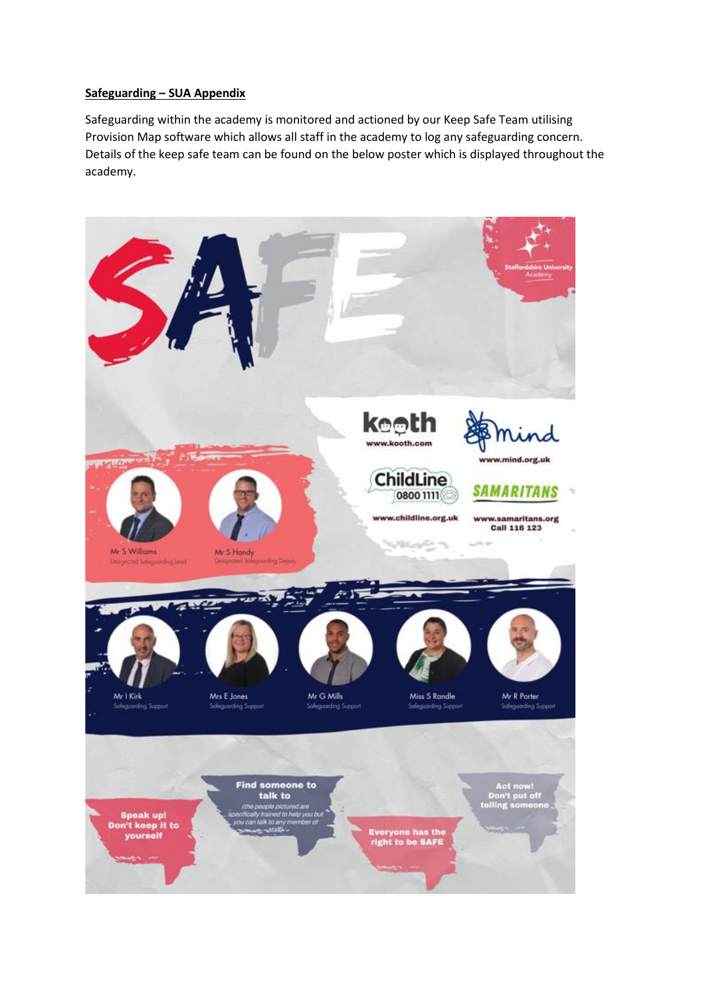## **Safeguarding – SUA Appendix**

Safeguarding within the academy is monitored and actioned by our Keep Safe Team utilising Provision Map software which allows all staff in the academy to log any safeguarding concern. Details of the keep safe team can be found on the below poster which is displayed throughout the academy.